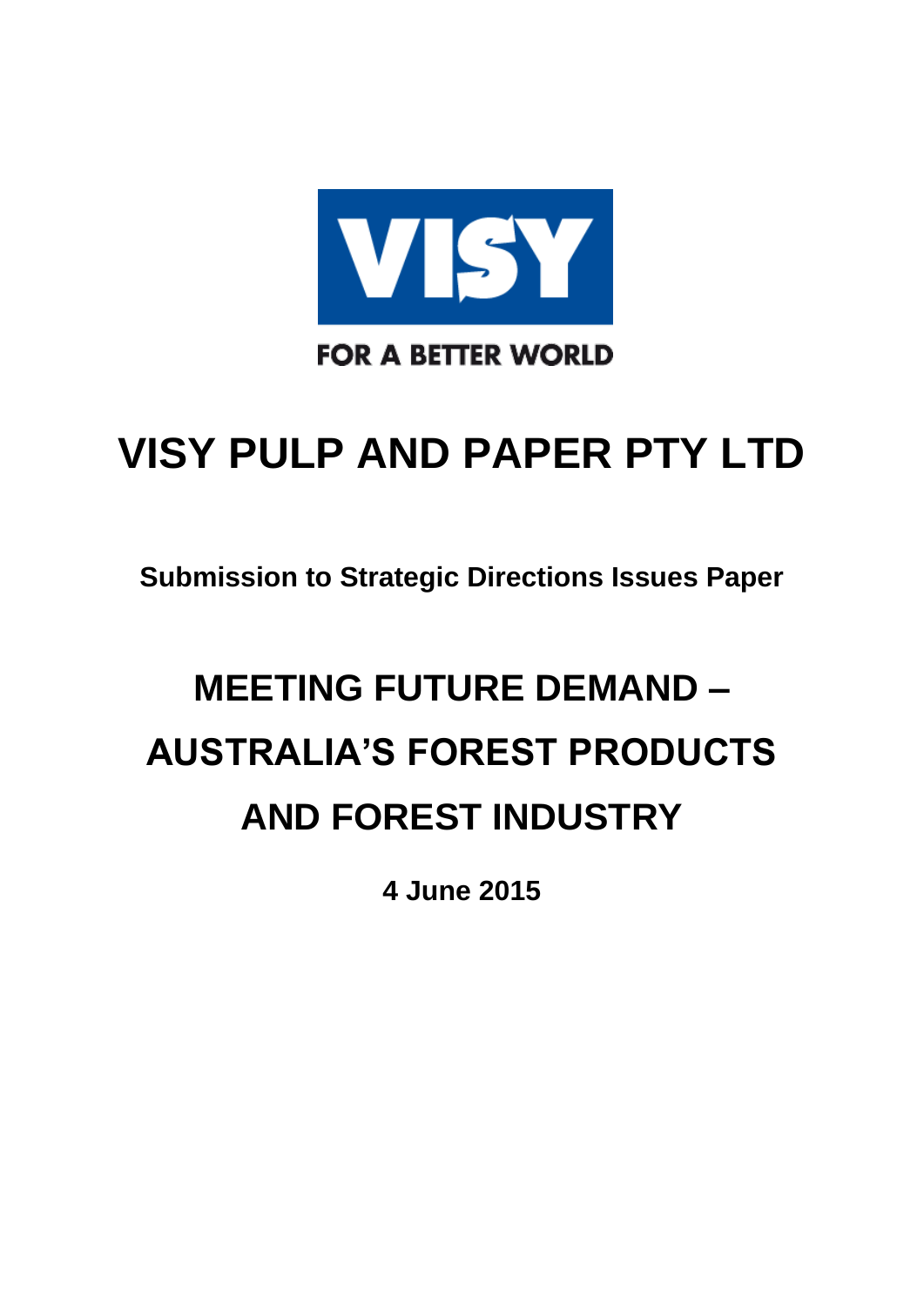

# **VISY PULP AND PAPER PTY LTD**

**Submission to Strategic Directions Issues Paper**

# **MEETING FUTURE DEMAND – AUSTRALIA'S FOREST PRODUCTS AND FOREST INDUSTRY**

**4 June 2015**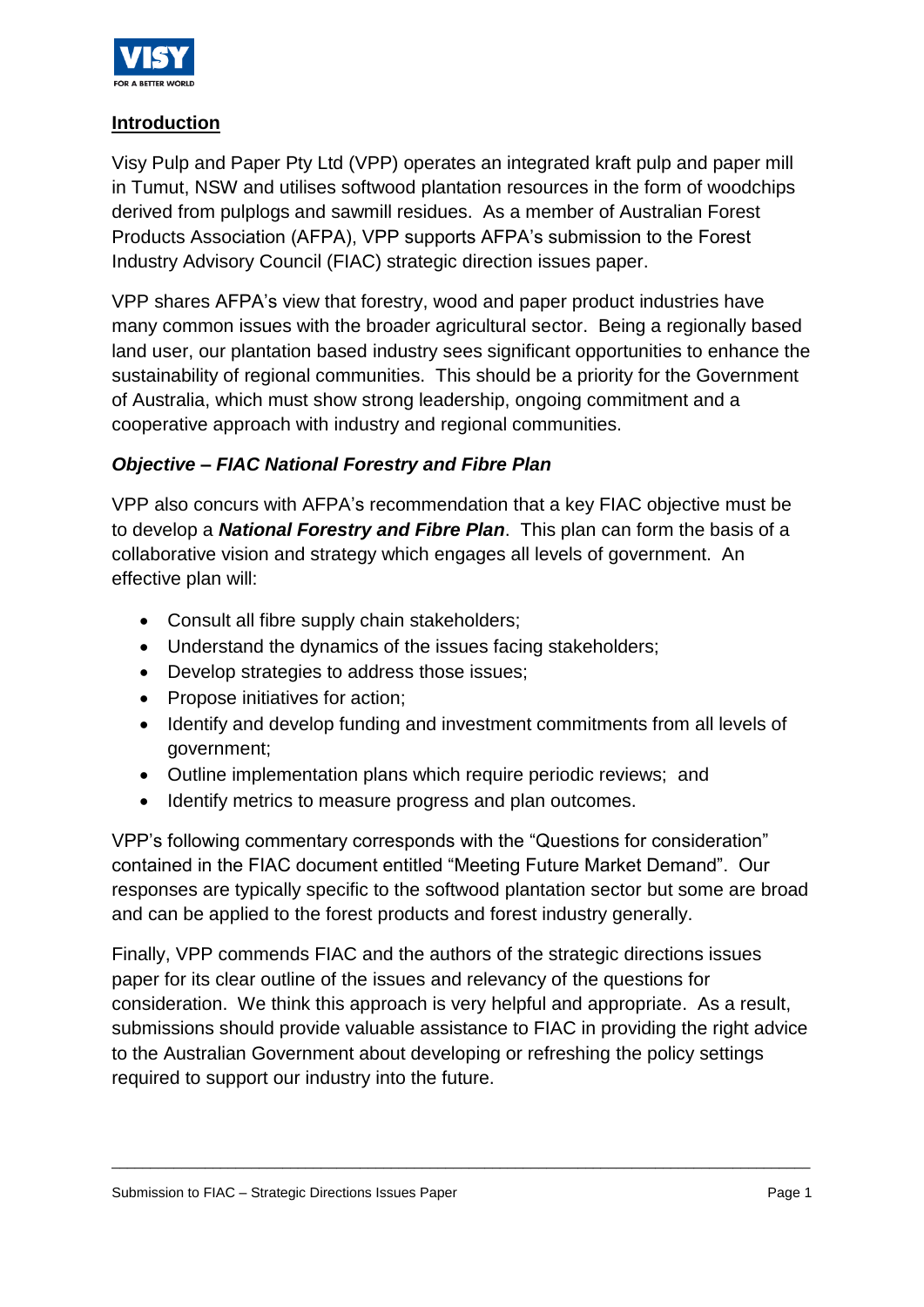

# **Introduction**

Visy Pulp and Paper Pty Ltd (VPP) operates an integrated kraft pulp and paper mill in Tumut, NSW and utilises softwood plantation resources in the form of woodchips derived from pulplogs and sawmill residues. As a member of Australian Forest Products Association (AFPA), VPP supports AFPA's submission to the Forest Industry Advisory Council (FIAC) strategic direction issues paper.

VPP shares AFPA's view that forestry, wood and paper product industries have many common issues with the broader agricultural sector. Being a regionally based land user, our plantation based industry sees significant opportunities to enhance the sustainability of regional communities. This should be a priority for the Government of Australia, which must show strong leadership, ongoing commitment and a cooperative approach with industry and regional communities.

# *Objective – FIAC National Forestry and Fibre Plan*

VPP also concurs with AFPA's recommendation that a key FIAC objective must be to develop a *National Forestry and Fibre Plan*. This plan can form the basis of a collaborative vision and strategy which engages all levels of government. An effective plan will:

- Consult all fibre supply chain stakeholders;
- Understand the dynamics of the issues facing stakeholders;
- Develop strategies to address those issues;
- Propose initiatives for action:
- Identify and develop funding and investment commitments from all levels of government;
- Outline implementation plans which require periodic reviews; and
- Identify metrics to measure progress and plan outcomes.

VPP's following commentary corresponds with the "Questions for consideration" contained in the FIAC document entitled "Meeting Future Market Demand". Our responses are typically specific to the softwood plantation sector but some are broad and can be applied to the forest products and forest industry generally.

Finally, VPP commends FIAC and the authors of the strategic directions issues paper for its clear outline of the issues and relevancy of the questions for consideration. We think this approach is very helpful and appropriate. As a result, submissions should provide valuable assistance to FIAC in providing the right advice to the Australian Government about developing or refreshing the policy settings required to support our industry into the future.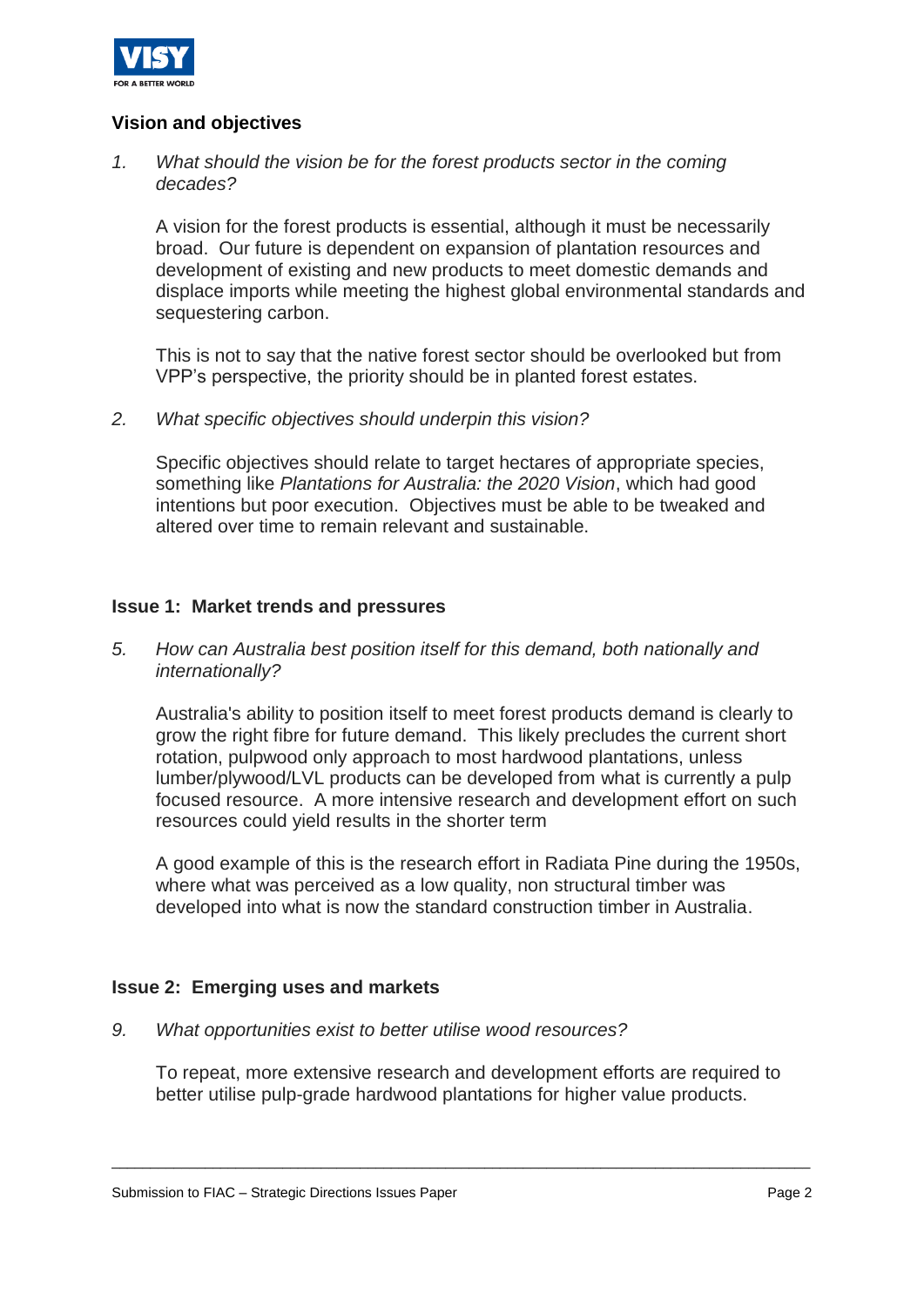

# **Vision and objectives**

*1. What should the vision be for the forest products sector in the coming decades?*

A vision for the forest products is essential, although it must be necessarily broad. Our future is dependent on expansion of plantation resources and development of existing and new products to meet domestic demands and displace imports while meeting the highest global environmental standards and sequestering carbon.

This is not to say that the native forest sector should be overlooked but from VPP's perspective, the priority should be in planted forest estates.

*2. What specific objectives should underpin this vision?*

Specific objectives should relate to target hectares of appropriate species, something like *Plantations for Australia: the 2020 Vision*, which had good intentions but poor execution. Objectives must be able to be tweaked and altered over time to remain relevant and sustainable.

#### **Issue 1: Market trends and pressures**

*5. How can Australia best position itself for this demand, both nationally and internationally?*

Australia's ability to position itself to meet forest products demand is clearly to grow the right fibre for future demand. This likely precludes the current short rotation, pulpwood only approach to most hardwood plantations, unless lumber/plywood/LVL products can be developed from what is currently a pulp focused resource. A more intensive research and development effort on such resources could yield results in the shorter term

A good example of this is the research effort in Radiata Pine during the 1950s, where what was perceived as a low quality, non structural timber was developed into what is now the standard construction timber in Australia.

#### **Issue 2: Emerging uses and markets**

*9. What opportunities exist to better utilise wood resources?*

To repeat, more extensive research and development efforts are required to better utilise pulp-grade hardwood plantations for higher value products.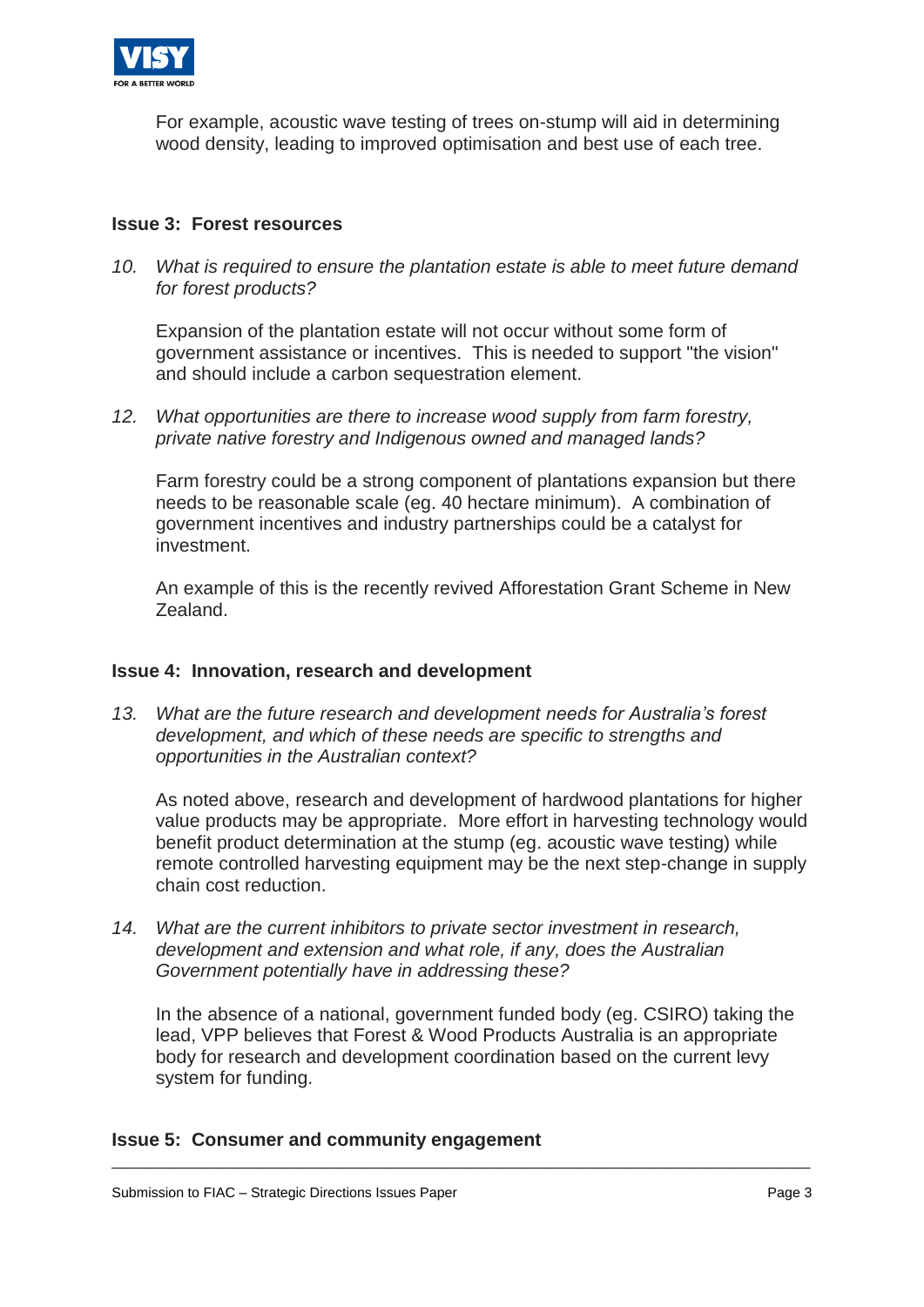

For example, acoustic wave testing of trees on-stump will aid in determining wood density, leading to improved optimisation and best use of each tree.

#### **Issue 3: Forest resources**

*10. What is required to ensure the plantation estate is able to meet future demand for forest products?*

Expansion of the plantation estate will not occur without some form of government assistance or incentives. This is needed to support "the vision" and should include a carbon sequestration element.

*12. What opportunities are there to increase wood supply from farm forestry, private native forestry and Indigenous owned and managed lands?*

Farm forestry could be a strong component of plantations expansion but there needs to be reasonable scale (eg. 40 hectare minimum). A combination of government incentives and industry partnerships could be a catalyst for investment.

An example of this is the recently revived Afforestation Grant Scheme in New Zealand.

#### **Issue 4: Innovation, research and development**

*13. What are the future research and development needs for Australia's forest development, and which of these needs are specific to strengths and opportunities in the Australian context?*

As noted above, research and development of hardwood plantations for higher value products may be appropriate. More effort in harvesting technology would benefit product determination at the stump (eg. acoustic wave testing) while remote controlled harvesting equipment may be the next step-change in supply chain cost reduction.

*14. What are the current inhibitors to private sector investment in research, development and extension and what role, if any, does the Australian Government potentially have in addressing these?*

In the absence of a national, government funded body (eg. CSIRO) taking the lead, VPP believes that Forest & Wood Products Australia is an appropriate body for research and development coordination based on the current levy system for funding.

\_\_\_\_\_\_\_\_\_\_\_\_\_\_\_\_\_\_\_\_\_\_\_\_\_\_\_\_\_\_\_\_\_\_\_\_\_\_\_\_\_\_\_\_\_\_\_\_\_\_\_\_\_\_\_\_\_\_\_\_\_\_\_\_\_\_\_\_\_\_\_\_\_\_\_\_\_\_\_\_\_\_\_\_\_\_\_\_\_\_

#### **Issue 5: Consumer and community engagement**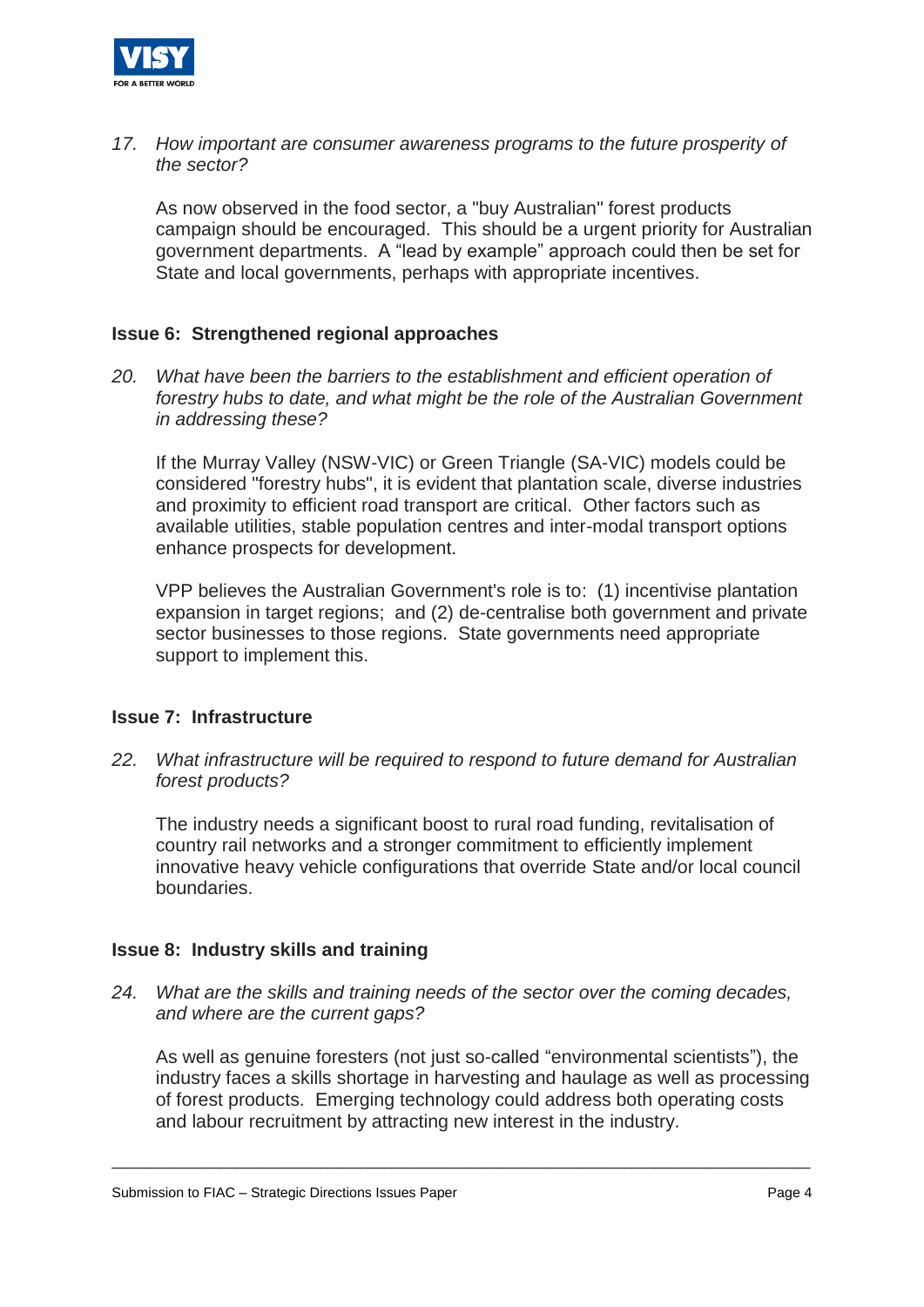

*17. How important are consumer awareness programs to the future prosperity of the sector?*

As now observed in the food sector, a "buy Australian" forest products campaign should be encouraged. This should be a urgent priority for Australian government departments. A "lead by example" approach could then be set for State and local governments, perhaps with appropriate incentives.

#### **Issue 6: Strengthened regional approaches**

*20. What have been the barriers to the establishment and efficient operation of forestry hubs to date, and what might be the role of the Australian Government in addressing these?*

If the Murray Valley (NSW-VIC) or Green Triangle (SA-VIC) models could be considered "forestry hubs", it is evident that plantation scale, diverse industries and proximity to efficient road transport are critical. Other factors such as available utilities, stable population centres and inter-modal transport options enhance prospects for development.

VPP believes the Australian Government's role is to: (1) incentivise plantation expansion in target regions; and (2) de-centralise both government and private sector businesses to those regions. State governments need appropriate support to implement this.

#### **Issue 7: Infrastructure**

*22. What infrastructure will be required to respond to future demand for Australian forest products?*

The industry needs a significant boost to rural road funding, revitalisation of country rail networks and a stronger commitment to efficiently implement innovative heavy vehicle configurations that override State and/or local council boundaries.

#### **Issue 8: Industry skills and training**

*24. What are the skills and training needs of the sector over the coming decades, and where are the current gaps?*

As well as genuine foresters (not just so-called "environmental scientists"), the industry faces a skills shortage in harvesting and haulage as well as processing of forest products. Emerging technology could address both operating costs and labour recruitment by attracting new interest in the industry.